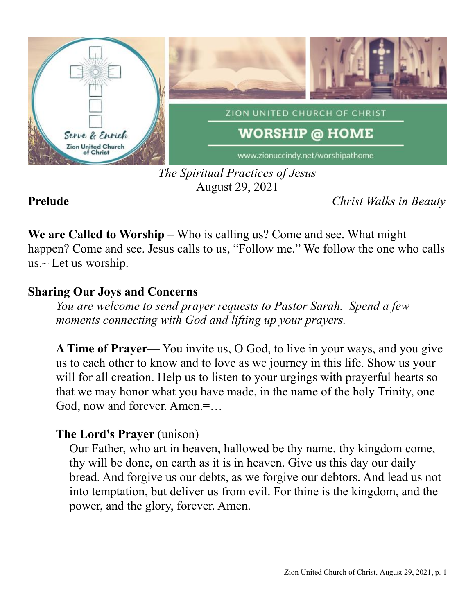

## *The Spiritual Practices of Jesus* August 29, 2021

**Prelude** *Christ Walks in Beauty*

**We are Called to Worship** – Who is calling us? Come and see. What might happen? Come and see. Jesus calls to us, "Follow me." We follow the one who calls us. $\sim$  Let us worship.

# **Sharing Our Joys and Concerns**

*You are welcome to send prayer requests to Pastor Sarah. Spend a few moments connecting with God and lifting up your prayers.*

**A Time of Prayer—** You invite us, O God, to live in your ways, and you give us to each other to know and to love as we journey in this life. Show us your will for all creation. Help us to listen to your urgings with prayerful hearts so that we may honor what you have made, in the name of the holy Trinity, one God, now and forever. Amen.=…

# **The Lord's Prayer** (unison)

Our Father, who art in heaven, hallowed be thy name, thy kingdom come, thy will be done, on earth as it is in heaven. Give us this day our daily bread. And forgive us our debts, as we forgive our debtors. And lead us not into temptation, but deliver us from evil. For thine is the kingdom, and the power, and the glory, forever. Amen.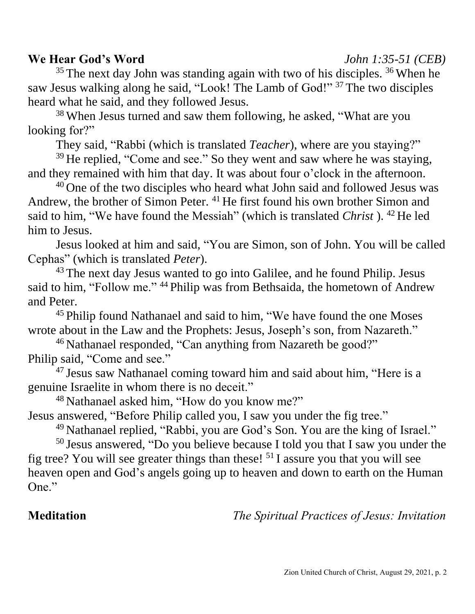### **We Hear God's Word** *John 1:35-51 (CEB)*

 $35$  The next day John was standing again with two of his disciples.  $36$  When he saw Jesus walking along he said, "Look! The Lamb of God!" <sup>37</sup> The two disciples heard what he said, and they followed Jesus.

<sup>38</sup> When Jesus turned and saw them following, he asked, "What are you looking for?"

They said, "Rabbi (which is translated *Teacher*), where are you staying?"

 $39$  He replied, "Come and see." So they went and saw where he was staying, and they remained with him that day. It was about four o'clock in the afternoon.

<sup>40</sup> One of the two disciples who heard what John said and followed Jesus was Andrew, the brother of Simon Peter. <sup>41</sup> He first found his own brother Simon and said to him, "We have found the Messiah" (which is translated *Christ* ). <sup>42</sup> He led him to Jesus.

Jesus looked at him and said, "You are Simon, son of John. You will be called Cephas" (which is translated *Peter*).

<sup>43</sup> The next day Jesus wanted to go into Galilee, and he found Philip. Jesus said to him, "Follow me." <sup>44</sup> Philip was from Bethsaida, the hometown of Andrew and Peter.

<sup>45</sup> Philip found Nathanael and said to him, "We have found the one Moses" wrote about in the Law and the Prophets: Jesus, Joseph's son, from Nazareth."

<sup>46</sup> Nathanael responded, "Can anything from Nazareth be good?" Philip said, "Come and see."

<sup>47</sup> Jesus saw Nathanael coming toward him and said about him, "Here is a genuine Israelite in whom there is no deceit."

<sup>48</sup> Nathanael asked him, "How do you know me?"

Jesus answered, "Before Philip called you, I saw you under the fig tree."

<sup>49</sup> Nathanael replied, "Rabbi, you are God's Son. You are the king of Israel."

<sup>50</sup> Jesus answered, "Do you believe because I told you that I saw you under the fig tree? You will see greater things than these! <sup>51</sup> I assure you that you will see heaven open and God's angels going up to heaven and down to earth on the Human One."

**Meditation** *The Spiritual Practices of Jesus: Invitation*